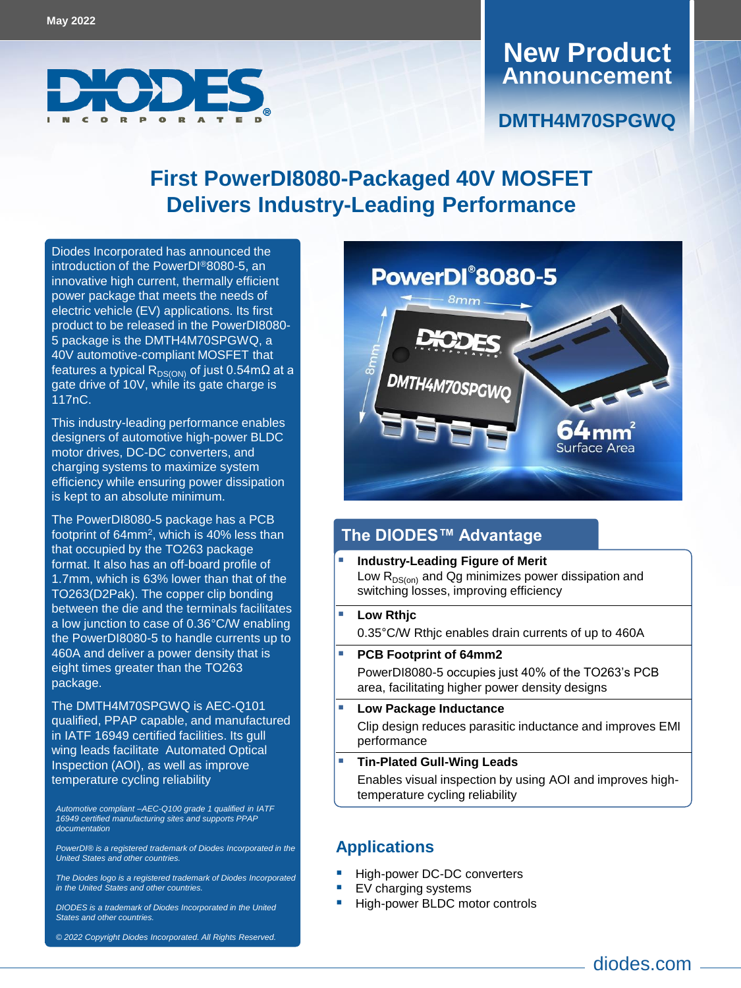

### **Announcement New Product**

### **First PowerDI8080-Packaged 40V MOSFET Delivers Industry-Leading Performance**

Diodes Inco[rporated has announce](https://www.diodes.com/part/view/DMTH4M70SPGWQ/)d the introduction of the PowerDI®8080-5, an innovative high current, thermally efficient power package that meets the needs of electric vehicle (EV) applications. Its first product to be released in the PowerDI8080- 5 package is the DMTH4M70SPGWQ, a 40V automotive-compliant MOSFET that features a typical R<sub>DS(ON)</sub> of just 0.54mΩ at a gate drive of 10V, while its gate charge is 117nC.

This industry-leading performance enables designers of automotive high-power BLDC motor drives, DC-DC converters, and charging systems to maximize system efficiency while ensuring power dissipation is kept to an absolute minimum.

The PowerDI8080-5 package has a PCB footprint of 64mm<sup>2</sup>, which is 40% less than that occupied by the TO263 package format. It also has an off-board profile of 1.7mm, which is 63% lower than that of the TO263(D2Pak). The copper clip bonding between the die and the terminals facilitates a low junction to case of 0.36°C/W enabling the PowerDI8080-5 to handle currents up to 460A and deliver a power density that is eight times greater than the TO263 package.

The DMTH4M70SPGWQ is AEC-Q101 qualified, PPAP capable, and manufactured in IATF 16949 certified facilities. Its gull wing leads facilitate Automated Optical Inspection (AOI), as well as improve temperature cycling reliability

*Automotive compliant –AEC-Q100 grade 1 qualified in IATF 16949 certified manufacturing sites and supports PPAP documentation*

*PowerDI® is a registered trademark of Diodes Incorporated in the United States and other countries.* 

*The Diodes logo is a registered trademark of Diodes Incorporated in the United States and other countries.*

*DIODES is a trademark of Diodes Incorporated in the United States and other countries.*

*© 2022 Copyright Diodes Incorporated. All Rights Reserved.*



### **The DIODES™ Advantage**

- switching losses, improving efficiency **Industry-Leading Figure of Merit** Low  $R_{DS(on)}$  and Qg minimizes power dissipation and
- $\mathbf{E} = \mathbf{E} \cdot \mathbf{E}$ 0.35°C/W Rthjc enables drain currents of up to 460A **Low Rthjc**
- Lorem ipsum delor sit amet consequat apartur mihi null PowerDI8080-5 occupies just 40% of the TO263's PCB area, facilitating higher power density designs **PCB Footprint of 64mm2**
- **Bullet 2** Low Package Inductance Clip design reduces parasitic inductance and improves EMI **Bullet point 2** performance

#### **Tin-Plated Gull-Wing Leads The State aparture as a particular aparture in the State and State and State and State and State and State and State and State and State and State and State and State and State and State and S**

Enables visual inspection by using AOI and improves hightemperature cycling reliability

#### **Applications**

- High-power DC-DC converters
- EV charging systems
- High-power BLDC motor controls